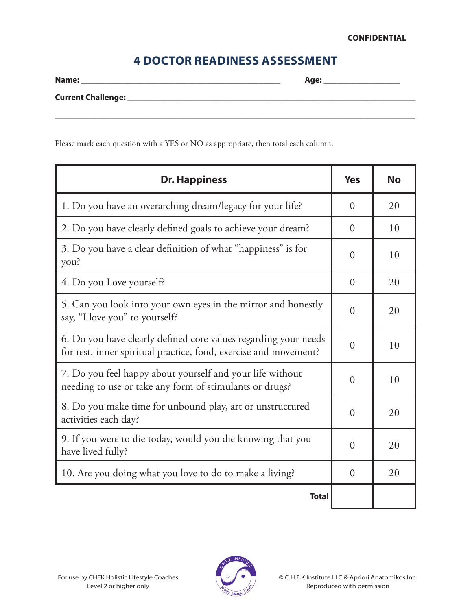## **4 DOCTOR READINESS ASSESSMENT**

| Name:                     | Age: |  |
|---------------------------|------|--|
| <b>Current Challenge:</b> |      |  |
|                           |      |  |

Please mark each question with a YES or NO as appropriate, then total each column.

| <b>Dr. Happiness</b>                                                                                                                | <b>Yes</b>     | No |
|-------------------------------------------------------------------------------------------------------------------------------------|----------------|----|
| 1. Do you have an overarching dream/legacy for your life?                                                                           | $\theta$       | 20 |
| 2. Do you have clearly defined goals to achieve your dream?                                                                         | $\theta$       | 10 |
| 3. Do you have a clear definition of what "happiness" is for<br>you?                                                                | $\overline{0}$ | 10 |
| 4. Do you Love yourself?                                                                                                            | $\overline{0}$ | 20 |
| 5. Can you look into your own eyes in the mirror and honestly<br>say, "I love you" to yourself?                                     | $\theta$       | 20 |
| 6. Do you have clearly defined core values regarding your needs<br>for rest, inner spiritual practice, food, exercise and movement? | $\overline{0}$ | 10 |
| 7. Do you feel happy about yourself and your life without<br>needing to use or take any form of stimulants or drugs?                | $\theta$       | 10 |
| 8. Do you make time for unbound play, art or unstructured<br>activities each day?                                                   | $\theta$       | 20 |
| 9. If you were to die today, would you die knowing that you<br>have lived fully?                                                    |                | 20 |
| 10. Are you doing what you love to do to make a living?                                                                             |                | 20 |
| <b>Total</b>                                                                                                                        |                |    |

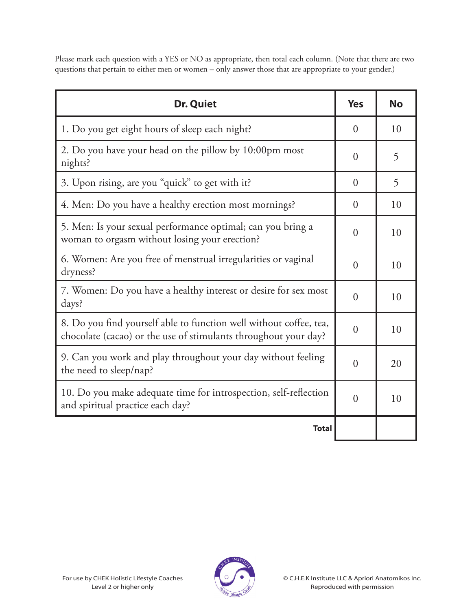Please mark each question with a YES or NO as appropriate, then total each column. (Note that there are two questions that pertain to either men or women – only answer those that are appropriate to your gender.)

| <b>Dr. Quiet</b>                                                                                                                      | <b>Yes</b>     | <b>No</b> |
|---------------------------------------------------------------------------------------------------------------------------------------|----------------|-----------|
| 1. Do you get eight hours of sleep each night?                                                                                        | $\theta$       | 10        |
| 2. Do you have your head on the pillow by 10:00pm most<br>nights?                                                                     | $\overline{0}$ | 5         |
| 3. Upon rising, are you "quick" to get with it?                                                                                       | $\theta$       | 5         |
| 4. Men: Do you have a healthy erection most mornings?                                                                                 | $\theta$       | 10        |
| 5. Men: Is your sexual performance optimal; can you bring a<br>woman to orgasm without losing your erection?                          | $\theta$       | 10        |
| 6. Women: Are you free of menstrual irregularities or vaginal<br>dryness?                                                             | $\theta$       | 10        |
| 7. Women: Do you have a healthy interest or desire for sex most<br>days?                                                              | $\overline{0}$ | 10        |
| 8. Do you find yourself able to function well without coffee, tea,<br>chocolate (cacao) or the use of stimulants throughout your day? | $\theta$       | 10        |
| 9. Can you work and play throughout your day without feeling<br>the need to sleep/nap?                                                | $\theta$       | 20        |
| 10. Do you make adequate time for introspection, self-reflection<br>and spiritual practice each day?                                  | $\theta$       | 10        |
| <b>Total</b>                                                                                                                          |                |           |

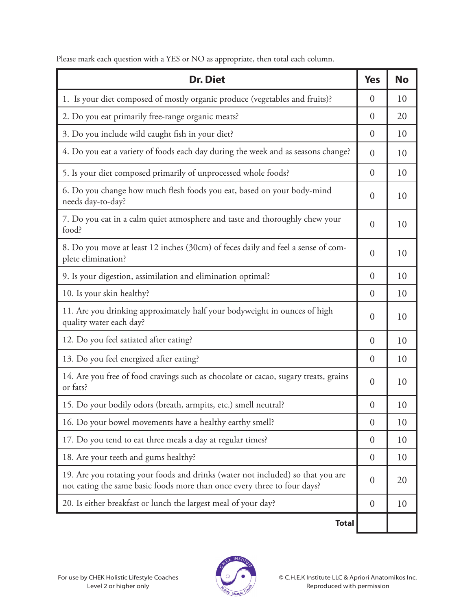Please mark each question with a YES or NO as appropriate, then total each column.

| <b>Dr. Diet</b>                                                                                                                                             | <b>Yes</b>     | <b>No</b> |
|-------------------------------------------------------------------------------------------------------------------------------------------------------------|----------------|-----------|
| 1. Is your diet composed of mostly organic produce (vegetables and fruits)?                                                                                 | $\overline{0}$ | 10        |
| 2. Do you eat primarily free-range organic meats?                                                                                                           | $\theta$       | 20        |
| 3. Do you include wild caught fish in your diet?                                                                                                            | $\overline{0}$ | 10        |
| 4. Do you eat a variety of foods each day during the week and as seasons change?                                                                            | $\theta$       | 10        |
| 5. Is your diet composed primarily of unprocessed whole foods?                                                                                              | $\overline{0}$ | 10        |
| 6. Do you change how much flesh foods you eat, based on your body-mind<br>needs day-to-day?                                                                 | $\overline{0}$ | 10        |
| 7. Do you eat in a calm quiet atmosphere and taste and thoroughly chew your<br>food?                                                                        | $\overline{0}$ | 10        |
| 8. Do you move at least 12 inches (30cm) of feces daily and feel a sense of com-<br>plete elimination?                                                      | $\overline{0}$ | 10        |
| 9. Is your digestion, assimilation and elimination optimal?                                                                                                 | $\theta$       | 10        |
| 10. Is your skin healthy?                                                                                                                                   | $\overline{0}$ | 10        |
| 11. Are you drinking approximately half your bodyweight in ounces of high<br>quality water each day?                                                        | $\overline{0}$ | 10        |
| 12. Do you feel satiated after eating?                                                                                                                      | $\overline{0}$ | 10        |
| 13. Do you feel energized after eating?                                                                                                                     | $\overline{0}$ | 10        |
| 14. Are you free of food cravings such as chocolate or cacao, sugary treats, grains<br>or fats?                                                             | $\overline{0}$ | 10        |
| 15. Do your bodily odors (breath, armpits, etc.) smell neutral?                                                                                             | $\overline{0}$ | 10        |
| 16. Do your bowel movements have a healthy earthy smell?                                                                                                    |                | 10        |
| 17. Do you tend to eat three meals a day at regular times?                                                                                                  |                | 10        |
| 18. Are your teeth and gums healthy?                                                                                                                        | $\overline{0}$ | 10        |
| 19. Are you rotating your foods and drinks (water not included) so that you are<br>not eating the same basic foods more than once every three to four days? |                | 20        |
| 20. Is either breakfast or lunch the largest meal of your day?                                                                                              | $\theta$       | 10        |
| <b>Total</b>                                                                                                                                                |                |           |

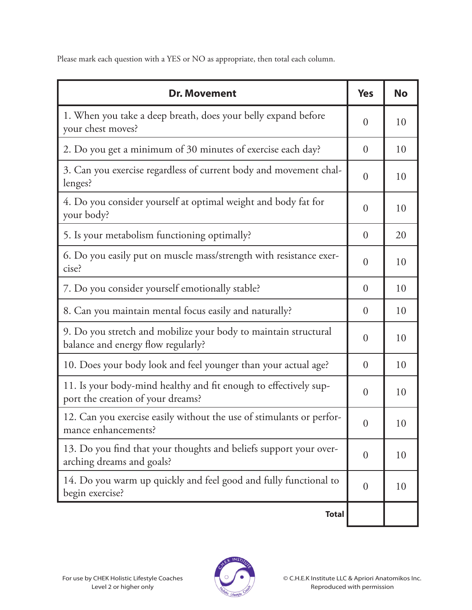Please mark each question with a YES or NO as appropriate, then total each column.

| <b>Dr. Movement</b>                                                                                   | <b>Yes</b>       | <b>No</b> |
|-------------------------------------------------------------------------------------------------------|------------------|-----------|
| 1. When you take a deep breath, does your belly expand before<br>your chest moves?                    | $\overline{0}$   | 10        |
| 2. Do you get a minimum of 30 minutes of exercise each day?                                           | $\overline{0}$   | 10        |
| 3. Can you exercise regardless of current body and movement chal-<br>lenges?                          | $\overline{0}$   | 10        |
| 4. Do you consider yourself at optimal weight and body fat for<br>your body?                          | $\overline{0}$   | 10        |
| 5. Is your metabolism functioning optimally?                                                          | $\overline{0}$   | 20        |
| 6. Do you easily put on muscle mass/strength with resistance exer-<br>cise?                           | $\overline{0}$   | 10        |
| 7. Do you consider yourself emotionally stable?                                                       | $\overline{0}$   | 10        |
| 8. Can you maintain mental focus easily and naturally?                                                | $\overline{0}$   | 10        |
| 9. Do you stretch and mobilize your body to maintain structural<br>balance and energy flow regularly? | $\overline{0}$   | 10        |
| 10. Does your body look and feel younger than your actual age?                                        | $\overline{0}$   | 10        |
| 11. Is your body-mind healthy and fit enough to effectively sup-<br>port the creation of your dreams? | $\overline{0}$   | 10        |
| 12. Can you exercise easily without the use of stimulants or perfor-<br>mance enhancements?           | $\overline{0}$   | 10        |
| 13. Do you find that your thoughts and beliefs support your over-<br>arching dreams and goals?        | $\boldsymbol{0}$ | 10        |
| 14. Do you warm up quickly and feel good and fully functional to<br>begin exercise?                   | $\overline{0}$   | 10        |
| <b>Total</b>                                                                                          |                  |           |